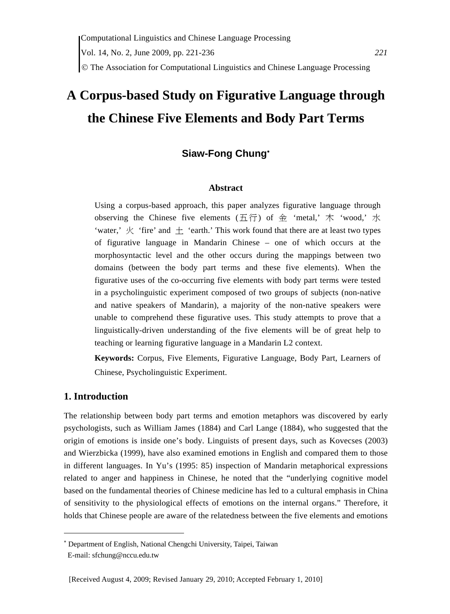# **A Corpus-based Study on Figurative Language through the Chinese Five Elements and Body Part Terms**

# **Siaw-Fong Chung**<sup>∗</sup>

#### **Abstract**

Using a corpus-based approach, this paper analyzes figurative language through observing the Chinese five elements  $(\overline{A}\overline{f})$  of 金 'metal,' 木 'wood,' 水 'water,'  $\frac{1}{2}$  'fire' and  $\pm$  'earth.' This work found that there are at least two types of figurative language in Mandarin Chinese – one of which occurs at the morphosyntactic level and the other occurs during the mappings between two domains (between the body part terms and these five elements). When the figurative uses of the co-occurring five elements with body part terms were tested in a psycholinguistic experiment composed of two groups of subjects (non-native and native speakers of Mandarin), a majority of the non-native speakers were unable to comprehend these figurative uses. This study attempts to prove that a linguistically-driven understanding of the five elements will be of great help to teaching or learning figurative language in a Mandarin L2 context.

**Keywords:** Corpus, Five Elements, Figurative Language, Body Part, Learners of Chinese, Psycholinguistic Experiment.

## **1. Introduction**

The relationship between body part terms and emotion metaphors was discovered by early psychologists, such as William James (1884) and Carl Lange (1884), who suggested that the origin of emotions is inside one's body. Linguists of present days, such as Kovecses (2003) and Wierzbicka (1999), have also examined emotions in English and compared them to those in different languages. In Yu's (1995: 85) inspection of Mandarin metaphorical expressions related to anger and happiness in Chinese, he noted that the "underlying cognitive model based on the fundamental theories of Chinese medicine has led to a cultural emphasis in China of sensitivity to the physiological effects of emotions on the internal organs." Therefore, it holds that Chinese people are aware of the relatedness between the five elements and emotions

<sup>∗</sup> Department of English, National Chengchi University, Taipei, Taiwan

E-mail: sfchung@nccu.edu.tw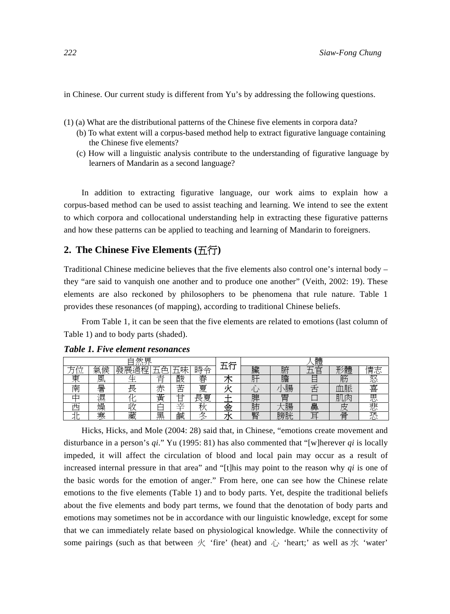in Chinese. Our current study is different from Yu's by addressing the following questions.

- (1) (a) What are the distributional patterns of the Chinese five elements in corpora data?
	- (b) To what extent will a corpus-based method help to extract figurative language containing the Chinese five elements?
	- (c) How will a linguistic analysis contribute to the understanding of figurative language by learners of Mandarin as a second language?

In addition to extracting figurative language, our work aims to explain how a corpus-based method can be used to assist teaching and learning. We intend to see the extent to which corpora and collocational understanding help in extracting these figurative patterns and how these patterns can be applied to teaching and learning of Mandarin to foreigners.

## **2. The Chinese Five Elements (**五行**)**

Traditional Chinese medicine believes that the five elements also control one's internal body – they "are said to vanquish one another and to produce one another" (Veith, 2002: 19). These elements are also reckoned by philosophers to be phenomena that rule nature. Table 1 provides these resonances (of mapping), according to traditional Chinese beliefs.

From Table 1, it can be seen that the five elements are related to emotions (last column of Table 1) and to body parts (shaded).

| 厌<br>み<br>-- |             |                    |           |                           |                 | エ仁  | 體       |           |        |         |         |  |
|--------------|-------------|--------------------|-----------|---------------------------|-----------------|-----|---------|-----------|--------|---------|---------|--|
|              | 候<br>⇐<br>冞 | 遜<br>▭<br>展ì<br>淌桿 | 7         | 1—<br>. н <del>ж</del>    | 時<br>$\tilde{}$ | ۰   | 臟       | н.<br>ŊŊ. |        | 體<br>π  | 情<br>心  |  |
| 東<br>イト      | 風           |                    | 青         | 酸                         | 春               |     | דח      | 膽         |        | 筋       | 怒       |  |
| 韵            | 显<br>奆      | ≡<br>౹ᆓ            | —<br>小    | 士<br>甴                    | 夏               |     |         | 腸         |        | 脈<br>IЩ | 喜       |  |
|              | 滷           |                    | 黃         |                           | 夏<br>ᄐ<br>⊢     |     | 脾       | Ħ<br>═    |        | ĦП<br>内 | 思       |  |
| म्प्र        | 燥           | $\sim$             |           | $\overline{a}$<br>$\cdot$ |                 | ٦Z. | 吐土<br>肝 | 腸         | 畠      |         | 크는<br>心 |  |
|              | 寒           | 藏                  | 里<br>7111 | 鹹                         | ↔               |     | 腎       | 膀胱        | $\sim$ | 骨       | ᇽ       |  |

*Table 1. Five element resonances* 

Hicks, Hicks, and Mole (2004: 28) said that, in Chinese, "emotions create movement and disturbance in a person's *qi*." Yu (1995: 81) has also commented that "[w]herever *qi* is locally impeded, it will affect the circulation of blood and local pain may occur as a result of increased internal pressure in that area" and "[t]his may point to the reason why *qi* is one of the basic words for the emotion of anger." From here, one can see how the Chinese relate emotions to the five elements (Table 1) and to body parts. Yet, despite the traditional beliefs about the five elements and body part terms, we found that the denotation of body parts and emotions may sometimes not be in accordance with our linguistic knowledge, except for some that we can immediately relate based on physiological knowledge. While the connectivity of some pairings (such as that between  $\overline{X}$  'fire' (heat) and  $\overline{V}$  'heart;' as well as  $\overline{X}$  'water'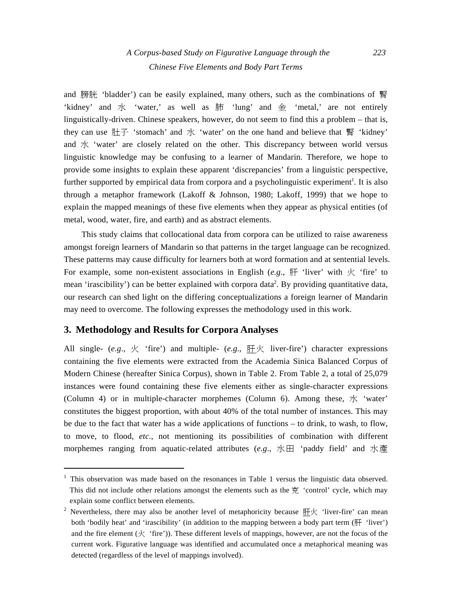and 膀胱 'bladder') can be easily explained, many others, such as the combinations of 腎 'kidney' and 水 'water,' as well as 肺 'lung' and 金 'metal,' are not entirely linguistically-driven. Chinese speakers, however, do not seem to find this a problem – that is, they can use  $H \rightarrow \infty$  'stomach' and  $\pi$  'water' on the one hand and believe that  $H \rightarrow \infty$ 'kidney' and  $\pi$  'water' are closely related on the other. This discrepancy between world versus linguistic knowledge may be confusing to a learner of Mandarin. Therefore, we hope to provide some insights to explain these apparent 'discrepancies' from a linguistic perspective, further supported by empirical data from corpora and a psycholinguistic experiment<sup>1</sup>. It is also through a metaphor framework (Lakoff & Johnson, 1980; Lakoff, 1999) that we hope to explain the mapped meanings of these five elements when they appear as physical entities (of metal, wood, water, fire, and earth) and as abstract elements.

This study claims that collocational data from corpora can be utilized to raise awareness amongst foreign learners of Mandarin so that patterns in the target language can be recognized. These patterns may cause difficulty for learners both at word formation and at sentential levels. For example, some non-existent associations in English ( $e.g.,$   $\mathbb{H}$  'liver' with  $\mathcal{K}$  'fire' to mean 'irascibility') can be better explained with corpora data<sup>2</sup>. By providing quantitative data, our research can shed light on the differing conceptualizations a foreign learner of Mandarin may need to overcome. The following expresses the methodology used in this work.

#### **3. Methodology and Results for Corpora Analyses**

All single- (*e.g.*,  $\overline{K}$  'fire') and multiple- (*e.g.*,  $\overline{H} \overline{K}$  liver-fire') character expressions containing the five elements were extracted from the Academia Sinica Balanced Corpus of Modern Chinese (hereafter Sinica Corpus), shown in Table 2. From Table 2, a total of 25,079 instances were found containing these five elements either as single-character expressions (Column 4) or in multiple-character morphemes (Column 6). Among these,  $\not\preceq$  'water' constitutes the biggest proportion, with about 40% of the total number of instances. This may be due to the fact that water has a wide applications of functions – to drink, to wash, to flow, to move, to flood, *etc*., not mentioning its possibilities of combination with different morphemes ranging from aquatic-related attributes (*e.g*., 水田 'paddy field' and 水產

 $<sup>1</sup>$  This observation was made based on the resonances in Table 1 versus the linguistic data observed.</sup> This did not include other relations amongst the elements such as the 克 'control' cycle, which may explain some conflict between elements.

<sup>&</sup>lt;sup>2</sup> Nevertheless, there may also be another level of metaphoricity because  $\#K$  'liver-fire' can mean both 'bodily heat' and 'irascibility' (in addition to the mapping between a body part term  $(\mathbb{H}^{\text{t}}$  'liver') and the fire element  $(\mathcal{K}^{\text{\'et}}$ rie')). These different levels of mappings, however, are not the focus of the current work. Figurative language was identified and accumulated once a metaphorical meaning was detected (regardless of the level of mappings involved).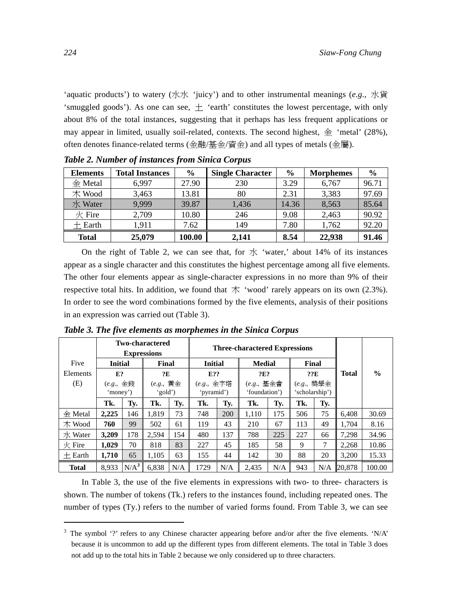'aquatic products') to watery (水水 'juicy') and to other instrumental meanings (*e.g*., 水貨 'smuggled goods'). As one can see,  $\pm$  'earth' constitutes the lowest percentage, with only about 8% of the total instances, suggesting that it perhaps has less frequent applications or may appear in limited, usually soil-related, contexts. The second highest,  $\hat{\oplus}$  'metal' (28%), often denotes finance-related terms (金融/基金/資金) and all types of metals (金屬).

| <b>Elements</b>              | <b>Total Instances</b> | $\frac{6}{6}$ | <b>Single Character</b> | $\frac{0}{0}$ | <b>Morphemes</b> | $\frac{6}{9}$ |
|------------------------------|------------------------|---------------|-------------------------|---------------|------------------|---------------|
| $\Leftrightarrow$ Metal      | 6.997                  | 27.90         | 230                     | 3.29          | 6.767            | 96.71         |
| 木 Wood                       | 3,463                  | 13.81         | 80                      | 2.31          | 3,383            | 97.69         |
| 水 Water                      | 9.999                  | 39.87         | 1.436                   | 14.36         | 8,563            | 85.64         |
| $\frac{1}{\mathcal{K}}$ Fire | 2,709                  | 10.80         | 246                     | 9.08          | 2,463            | 90.92         |
| $+$ Earth                    | 1.911                  | 7.62          | 149                     | 7.80          | 1,762            | 92.20         |
| <b>Total</b>                 | 25,079                 | 100.00        | 2.141                   | 8.54          | 22,938           | 91.46         |

*Table 2. Number of instances from Sinica Corpus* 

On the right of Table 2, we can see that, for  $\pi$  'water,' about 14% of its instances appear as a single character and this constitutes the highest percentage among all five elements. The other four elements appear as single-character expressions in no more than 9% of their respective total hits. In addition, we found that  $\dagger \times$  'wood' rarely appears on its own (2.3%). In order to see the word combinations formed by the five elements, analysis of their positions in an expression was carried out (Table 3).

|                         | <b>Two-charactered</b>             |         |                                   |     | <b>Three-charactered Expressions</b> |                          |               |                                                              |          |                                                 |              |               |
|-------------------------|------------------------------------|---------|-----------------------------------|-----|--------------------------------------|--------------------------|---------------|--------------------------------------------------------------|----------|-------------------------------------------------|--------------|---------------|
|                         | <b>Expressions</b>                 |         |                                   |     |                                      |                          |               |                                                              |          |                                                 |              |               |
| Five                    | <b>Initial</b>                     |         | Final                             |     | <b>Initial</b>                       |                          | <b>Medial</b> |                                                              | Final    |                                                 |              |               |
| Elements                | E?                                 |         | ?E                                |     | E??                                  |                          | ?E?           |                                                              | ??E      |                                                 | <b>Total</b> | $\frac{6}{9}$ |
| (E)                     | $(e.g., \triangleq)$ 錢<br>'money') |         | $(e.g., \# \hat{\pm})$<br>'gold') |     |                                      | (e.g., 金字塔<br>'pyramid') |               | $(e.g., \pm \hat{\pm} \hat{\pm} \hat{\pm})$<br>'foundation') |          | $(e.g., \frac{16.06}{12.06})$<br>'scholarship') |              |               |
|                         | Tk.                                | Tv.     | Tk.                               | Tv. | Tk.                                  | Ty.                      | Tk.           | Tv.                                                          | Tk.      | Ty.                                             |              |               |
| $\Leftrightarrow$ Metal | 2,225                              | 146     | 1.819                             | 73  | 748                                  | 200                      | 1.110         | 175                                                          | 506      | 75                                              | 6.408        | 30.69         |
| $\pi$ Wood              | 760                                | 99      | 502                               | 61  | 119                                  | 43                       | 210           | 67                                                           | 113      | 49                                              | 1.704        | 8.16          |
| 水 Water                 | 3.209                              | 178     | 2,594                             | 154 | 480                                  | 137                      | 788           | 225                                                          | 227      | 66                                              | 7,298        | 34.96         |
| $\mathcal{R}$ Fire      | 1.029                              | 70      | 818                               | 83  | 227                                  | 45                       | 185           | 58                                                           | 9        | 7                                               | 2,268        | 10.86         |
| $+$ Earth               | 1.710                              | 65      | 1.105                             | 63  | 155                                  | 44                       | 142           | 30                                                           | 20<br>88 |                                                 | 3.200        | 15.33         |
| <b>Total</b>            | 8.933                              | $N/A^3$ | 6,838                             | N/A | 1729                                 | N/A                      | 2.435         | N/A                                                          | 943      |                                                 | $N/A$ 20,878 | 100.00        |

*Table 3. The five elements as morphemes in the Sinica Corpus* 

In Table 3, the use of the five elements in expressions with two- to three- characters is shown. The number of tokens (Tk.) refers to the instances found, including repeated ones. The number of types (Ty.) refers to the number of varied forms found. From Table 3, we can see

<sup>&</sup>lt;sup>3</sup> The symbol '?' refers to any Chinese character appearing before and/or after the five elements. 'N/A' because it is uncommon to add up the different types from different elements. The total in Table 3 does not add up to the total hits in Table 2 because we only considered up to three characters.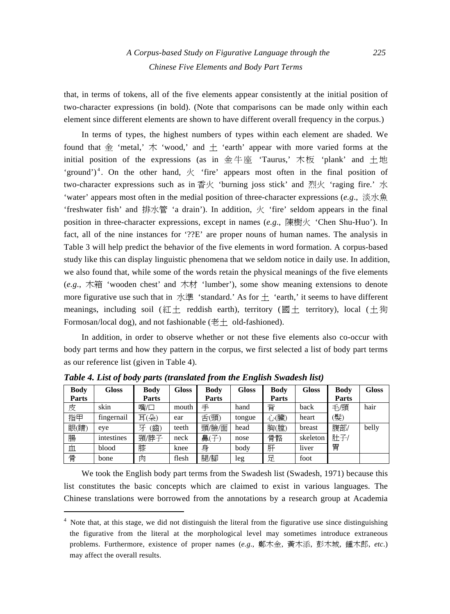that, in terms of tokens, all of the five elements appear consistently at the initial position of two-character expressions (in bold). (Note that comparisons can be made only within each element since different elements are shown to have different overall frequency in the corpus.)

In terms of types, the highest numbers of types within each element are shaded. We found that  $\hat{\pm}$  'metal,'  $\uparrow$  'wood,' and  $\pm$  'earth' appear with more varied forms at the initial position of the expressions (as in 金牛座 'Taurus,' 木板 'plank' and 土地 'ground')<sup>4</sup>. On the other hand,  $\mathcal{K}$  'fire' appears most often in the final position of two-character expressions such as in 香火 'burning joss stick' and 烈火 'raging fire.' 水 'water' appears most often in the medial position of three-character expressions (*e.g*., 淡水魚 'freshwater fish' and 排水管 'a drain'). In addition,  $\overline{X}$  'fire' seldom appears in the final position in three-character expressions, except in names (*e.g*., 陳樹火 'Chen Shu-Huo'). In fact, all of the nine instances for '??E' are proper nouns of human names. The analysis in Table 3 will help predict the behavior of the five elements in word formation. A corpus-based study like this can display linguistic phenomena that we seldom notice in daily use. In addition, we also found that, while some of the words retain the physical meanings of the five elements (*e.g*., 木箱 'wooden chest' and 木材 'lumber'), some show meaning extensions to denote more figurative use such that in  $\mathcal{H}$  istandard.' As for  $\pm$  'earth,' it seems to have different meanings, including soil (紅土 reddish earth), territory (國土 territory), local (土狗 Formosan/local dog), and not fashionable (老土 old-fashioned).

In addition, in order to observe whether or not these five elements also co-occur with body part terms and how they pattern in the corpus, we first selected a list of body part terms as our reference list (given in Table 4).

| <b>Body</b> | <b>Gloss</b> | Body     | Gloss | Body  | Gloss  | <b>Body</b> | <b>Gloss</b> | Body  | <b>Gloss</b> |
|-------------|--------------|----------|-------|-------|--------|-------------|--------------|-------|--------------|
| Parts       |              | Parts    |       | Parts |        | Parts       |              | Parts |              |
| 皮           | skin         | 嘴/口      | mouth | 手     | hand   | 背           | back         | 毛⁄頭   | hair         |
| 指甲          | fingernail   | 耳(朵)     | ear   | 舌(頭)  | tongue | 心(臟)        | heart        | (髮)   |              |
| 眼(睛)        | eye          | 牙<br>(齒) | teeth | 頭/臉/面 | head   | 胸(膛)        | breast       | 腹部/   | belly        |
| 腸           | intestines   | 頸/脖子     | neck  | 鼻(子)  | nose   | 骨骼          | skeleton     | 肚子/   |              |
| 血           | blood        | 膝        | knee  | 身     | body   | 肝           | liver        | 胃     |              |
| 骨           | bone         | 肉        | flesh | 腿/腳   | leg    | 足           | foot         |       |              |

*Table 4. List of body parts (translated from the English Swadesh list)* 

We took the English body part terms from the Swadesh list (Swadesh, 1971) because this list constitutes the basic concepts which are claimed to exist in various languages. The Chinese translations were borrowed from the annotations by a research group at Academia

<sup>&</sup>lt;sup>4</sup> Note that, at this stage, we did not distinguish the literal from the figurative use since distinguishing the figurative from the literal at the morphological level may sometimes introduce extraneous problems. Furthermore, existence of proper names (*e.g*., 鄭木金, 黃木添, 彭木城, 鍾木郎, *etc*.) may affect the overall results.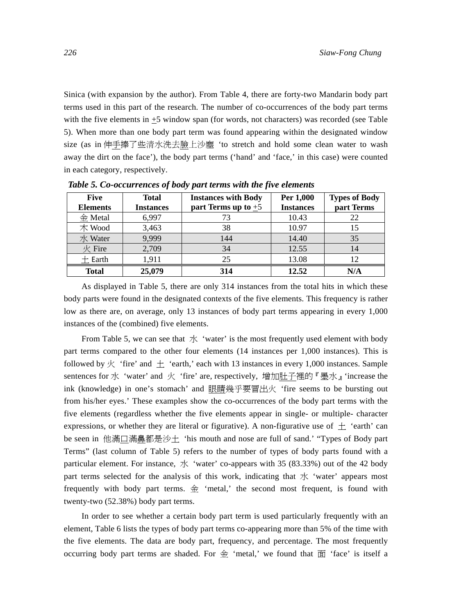Sinica (with expansion by the author). From Table 4, there are forty-two Mandarin body part terms used in this part of the research. The number of co-occurrences of the body part terms with the five elements in  $\pm$ 5 window span (for words, not characters) was recorded (see Table 5). When more than one body part term was found appearing within the designated window size (as in 伸手捧了些清水洗去臉上沙塵 'to stretch and hold some clean water to wash away the dirt on the face'), the body part terms ('hand' and 'face,' in this case) were counted in each category, respectively.

| <b>Five</b><br><b>Elements</b> | <b>Total</b><br><b>Instances</b> | <b>Instances with Body</b><br>part Terms up to $+5$ | Per 1,000<br><b>Instances</b> | <b>Types of Body</b><br>part Terms |
|--------------------------------|----------------------------------|-----------------------------------------------------|-------------------------------|------------------------------------|
| $\Leftrightarrow$ Metal        | 6,997                            |                                                     | 10.43                         | 22                                 |
| $\not\pi$ Wood                 | 3,463                            | 38                                                  | 10.97                         | 15                                 |
| 水 Water                        | 9,999                            | 144                                                 | 14.40                         | 35                                 |
| $#$ Fire                       | 2,709                            | 34                                                  | 12.55                         | 14                                 |
| $+$ Earth                      | 1.911                            | 25                                                  | 13.08                         | 12                                 |
| <b>Total</b>                   | 25,079                           | 314                                                 | 12.52                         | N/A                                |

*Table 5. Co-occurrences of body part terms with the five elements* 

As displayed in Table 5, there are only 314 instances from the total hits in which these body parts were found in the designated contexts of the five elements. This frequency is rather low as there are, on average, only 13 instances of body part terms appearing in every 1,000 instances of the (combined) five elements.

From Table 5, we can see that  $\dot{\mathcal{K}}$  'water' is the most frequently used element with body part terms compared to the other four elements (14 instances per 1,000 instances). This is followed by  $\frac{1}{x}$  'fire' and  $\pm$  'earth,' each with 13 instances in every 1,000 instances. Sample sentences for 水 'water' and 火 'fire' are, respectively, 增加肚子裡的『墨水』'increase the ink (knowledge) in one's stomach' and 眼睛幾乎要冒出火 'fire seems to be bursting out from his/her eyes.' These examples show the co-occurrences of the body part terms with the five elements (regardless whether the five elements appear in single- or multiple- character expressions, or whether they are literal or figurative). A non-figurative use of  $\pm$  'earth' can be seen in 他滿口滿鼻都是沙土 'his mouth and nose are full of sand.' "Types of Body part Terms" (last column of Table 5) refers to the number of types of body parts found with a particular element. For instance,  $\frac{1}{x}$  'water' co-appears with 35 (83.33%) out of the 42 body part terms selected for the analysis of this work, indicating that  $\chi$  'water' appears most frequently with body part terms.  $\hat{\oplus}$  'metal,' the second most frequent, is found with twenty-two (52.38%) body part terms.

In order to see whether a certain body part term is used particularly frequently with an element, Table 6 lists the types of body part terms co-appearing more than 5% of the time with the five elements. The data are body part, frequency, and percentage. The most frequently occurring body part terms are shaded. For  $\hat{\mathcal{L}}$  'metal,' we found that  $\hat{\mathbb{H}}$  'face' is itself a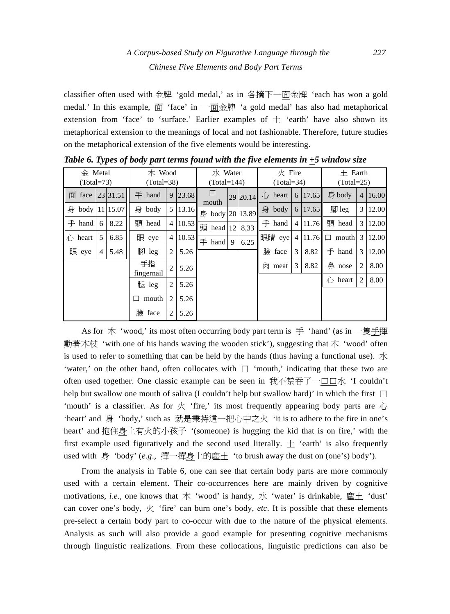# *A Corpus-based Study on Figurative Language through the 227 Chinese Five Elements and Body Part Terms*

classifier often used with 金牌 'gold medal,' as in 各摘下一面金牌 'each has won a gold medal.' In this example, 面 'face' in 一面金牌 'a gold medal' has also had metaphorical extension from 'face' to 'surface.' Earlier examples of  $\pm$  'earth' have also shown its metaphorical extension to the meanings of local and not fashionable. Therefore, future studies on the metaphorical extension of the five elements would be interesting.

| $\Leftrightarrow$ Metal<br>$(Total = 73)$ |   | 木 Wood<br>$(Total = 38)$ |                  |                | 水 Water<br>$(Total=144)$ |                          |   | $\frac{1}{\mathcal{K}}$ Fire<br>$(Total = 34)$ |   |               |              | $+$ Earth<br>$(Total = 25)$ |                             |                |       |
|-------------------------------------------|---|--------------------------|------------------|----------------|--------------------------|--------------------------|---|------------------------------------------------|---|---------------|--------------|-----------------------------|-----------------------------|----------------|-------|
| 面 face                                    |   | 23 31.51                 | $\ddagger$ hand  | 9              | 23.68                    | 口                        |   | 29 20.14                                       |   | 心 heart       |              | 6 17.65                     | 身 body                      | $\overline{4}$ | 16.00 |
| 身 body   11   15.07                       |   |                          | 身 body           | 5              | 13.16                    | mouth<br>身 body 20 13.89 |   |                                                |   | 身 body        |              | 6 17.65                     | $\mathbb{R}$ leg            | 3 <sup>1</sup> | 12.00 |
| $\equiv$ hand                             | 6 | 8.22                     | 頭 head           | 4              | 10.53                    | 頭 head 12                |   | 8.33                                           |   | $\equiv$ hand |              | $4 \mid 11.76 \mid$         | 頭 head                      | 3 <sup>1</sup> | 12.00 |
| $\bigcap$ heart                           | 5 | 6.85                     | 眼 eye            | 4              | 10.53                    | $\equiv$ hand            | 9 | 6.25                                           |   | 眼睛 eye        |              |                             | $4 11.76   \square$ mouth 3 |                | 12.00 |
| 眼 eye                                     | 4 | 5.48                     | 腳 leg            | 2              | 5.26                     |                          |   |                                                |   | 臉 face        | $\mathbf{3}$ | 8.82                        | $\ddagger$ hand             | 3 <sup>1</sup> | 12.00 |
|                                           |   |                          | 手指<br>fingernail | $\overline{2}$ | 5.26                     |                          |   |                                                | 肉 | meat          | 3            | 8.82                        | 鼻 nose                      | 2              | 8.00  |
|                                           |   |                          | 腿 leg            | 2              | 5.26                     |                          |   |                                                |   |               |              |                             | $\hat{A}$ heart             | 2              | 8.00  |
|                                           |   |                          | mouth<br>┓       | $\overline{c}$ | 5.26                     |                          |   |                                                |   |               |              |                             |                             |                |       |
|                                           |   |                          | 臉 face           | 2              | 5.26                     |                          |   |                                                |   |               |              |                             |                             |                |       |

*Table 6. Types of body part terms found with the five elements in +5 window size* 

As for 木 'wood,' its most often occurring body part term is 手 'hand' (as in 一隻手揮 動著木杖 'with one of his hands waving the wooden stick'), suggesting that 木 'wood' often is used to refer to something that can be held by the hands (thus having a functional use).  $\mathcal{K}$ 'water,' on the other hand, often collocates with  $\Box$  'mouth,' indicating that these two are often used together. One classic example can be seen in 我不禁吞了一口口水 'I couldn't help but swallow one mouth of saliva (I couldn't help but swallow hard)' in which the first  $\Box$ 'mouth' is a classifier. As for  $\mathcal{K}$  'fire,' its most frequently appearing body parts are  $\tilde{U}$ 'heart' and 身 'body,' such as 就是秉持這一把心中之火 'it is to adhere to the fire in one's heart' and 抱住身上有火的小孩子 '(someone) is hugging the kid that is on fire,' with the first example used figuratively and the second used literally.  $\pm$  'earth' is also frequently used with 身 'body' (*e.g*., 撣一撣身上的塵土 'to brush away the dust on (one's) body').

From the analysis in Table 6, one can see that certain body parts are more commonly used with a certain element. Their co-occurrences here are mainly driven by cognitive motivations, *i.e.*, one knows that 木 'wood' is handy, 水 'water' is drinkable, 塵土 'dust' can cover one's body, 火 'fire' can burn one's body, *etc*. It is possible that these elements pre-select a certain body part to co-occur with due to the nature of the physical elements. Analysis as such will also provide a good example for presenting cognitive mechanisms through linguistic realizations. From these collocations, linguistic predictions can also be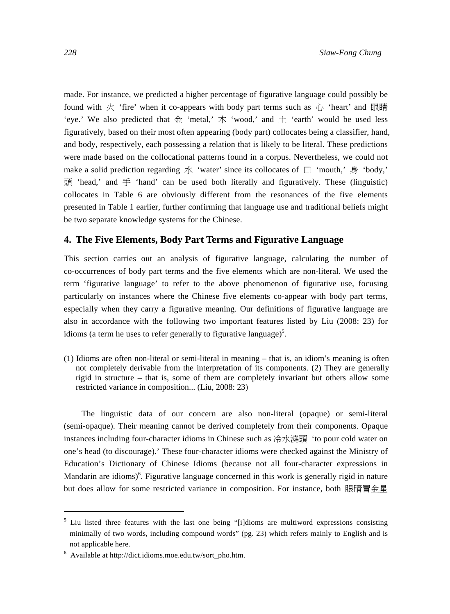made. For instance, we predicted a higher percentage of figurative language could possibly be found with 火 'fire' when it co-appears with body part terms such as  $\hat{d}$  'heart' and 眼睛 'eye.' We also predicted that  $\hat{\oplus}$  'metal,'  $\uparrow \uparrow$  'wood,' and  $\pm$  'earth' would be used less figuratively, based on their most often appearing (body part) collocates being a classifier, hand, and body, respectively, each possessing a relation that is likely to be literal. These predictions were made based on the collocational patterns found in a corpus. Nevertheless, we could not make a solid prediction regarding  $\pi$  'water' since its collocates of  $\Box$  'mouth,'  $\oplus$  'body,' 頭 'head,' and  $\pm$  'hand' can be used both literally and figuratively. These (linguistic) collocates in Table 6 are obviously different from the resonances of the five elements presented in Table 1 earlier, further confirming that language use and traditional beliefs might be two separate knowledge systems for the Chinese.

#### **4. The Five Elements, Body Part Terms and Figurative Language**

This section carries out an analysis of figurative language, calculating the number of co-occurrences of body part terms and the five elements which are non-literal. We used the term 'figurative language' to refer to the above phenomenon of figurative use, focusing particularly on instances where the Chinese five elements co-appear with body part terms, especially when they carry a figurative meaning. Our definitions of figurative language are also in accordance with the following two important features listed by Liu (2008: 23) for idioms (a term he uses to refer generally to figurative language)<sup>5</sup>.

(1) Idioms are often non-literal or semi-literal in meaning – that is, an idiom's meaning is often not completely derivable from the interpretation of its components. (2) They are generally rigid in structure – that is, some of them are completely invariant but others allow some restricted variance in composition... (Liu, 2008: 23)

The linguistic data of our concern are also non-literal (opaque) or semi-literal (semi-opaque). Their meaning cannot be derived completely from their components. Opaque instances including four-character idioms in Chinese such as 冷水澆頭 'to pour cold water on one's head (to discourage).' These four-character idioms were checked against the Ministry of Education's Dictionary of Chinese Idioms (because not all four-character expressions in Mandarin are idioms)<sup>6</sup>. Figurative language concerned in this work is generally rigid in nature but does allow for some restricted variance in composition. For instance, both 眼睛冒金星

<sup>&</sup>lt;sup>5</sup> Liu listed three features with the last one being "[i]dioms are multiword expressions consisting minimally of two words, including compound words" (pg. 23) which refers mainly to English and is not applicable here.

<sup>6</sup> Available at http://dict.idioms.moe.edu.tw/sort\_pho.htm.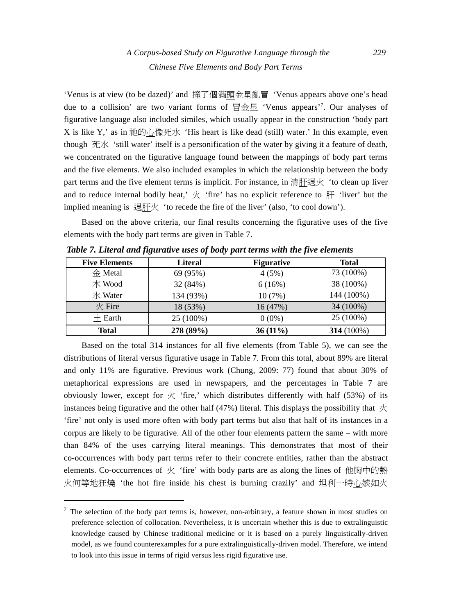'Venus is at view (to be dazed)' and 撞了個滿頭金星亂冒 'Venus appears above one's head due to a collision' are two variant forms of 冒金星 'Venus appears'7 . Our analyses of figurative language also included similes, which usually appear in the construction 'body part X is like Y,' as in 祂的心像死水 'His heart is like dead (still) water.' In this example, even though  $\mathcal{F} \rightarrow \mathcal{F}$  'still water' itself is a personification of the water by giving it a feature of death, we concentrated on the figurative language found between the mappings of body part terms and the five elements. We also included examples in which the relationship between the body part terms and the five element terms is implicit. For instance, in 清肝退火 'to clean up liver and to reduce internal bodily heat,'  $\overline{X}$  'fire' has no explicit reference to  $\overline{H}$  'liver' but the implied meaning is 退肝火 'to recede the fire of the liver' (also, 'to cool down').

Based on the above criteria, our final results concerning the figurative uses of the five elements with the body part terms are given in Table 7.

| <b>Five Elements</b>    | <b>Literal</b> | <b>Figurative</b> | <b>Total</b>      |
|-------------------------|----------------|-------------------|-------------------|
| $\Leftrightarrow$ Metal | 69 (95%)       | 4(5%)             | 73 (100%)         |
| $\pi$ Wood              | 32 (84%)       | 6(16%)            | 38 (100%)         |
| 水 Water                 | 134 (93%)      | 10(7%)            | 144 (100%)        |
| $\frac{1}{2}$ Fire      | 18 (53%)       | 16 (47%)          | 34 (100%)         |
| $\pm$ Earth             | 25 (100%)      | $0(0\%)$          | 25 (100%)         |
| Total                   | 278 (89%)      | $36(11\%)$        | <b>314</b> (100%) |

*Table 7. Literal and figurative uses of body part terms with the five elements* 

Based on the total 314 instances for all five elements (from Table 5), we can see the distributions of literal versus figurative usage in Table 7. From this total, about 89% are literal and only 11% are figurative. Previous work (Chung, 2009: 77) found that about 30% of metaphorical expressions are used in newspapers, and the percentages in Table 7 are obviously lower, except for  $\overline{\mathcal{K}}$  'fire,' which distributes differently with half (53%) of its instances being figurative and the other half (47%) literal. This displays the possibility that  $\overline{\mathcal{K}}$ 'fire' not only is used more often with body part terms but also that half of its instances in a corpus are likely to be figurative. All of the other four elements pattern the same – with more than 84% of the uses carrying literal meanings. This demonstrates that most of their co-occurrences with body part terms refer to their concrete entities, rather than the abstract elements. Co-occurrences of 火 'fire' with body parts are as along the lines of 他胸中的熱 火何等地狂燒 'the hot fire inside his chest is burning crazily' and 坦利一時心嫉如火

 $<sup>7</sup>$  The selection of the body part terms is, however, non-arbitrary, a feature shown in most studies on</sup> preference selection of collocation. Nevertheless, it is uncertain whether this is due to extralinguistic knowledge caused by Chinese traditional medicine or it is based on a purely linguistically-driven model, as we found counterexamples for a pure extralinguistically-driven model. Therefore, we intend to look into this issue in terms of rigid versus less rigid figurative use.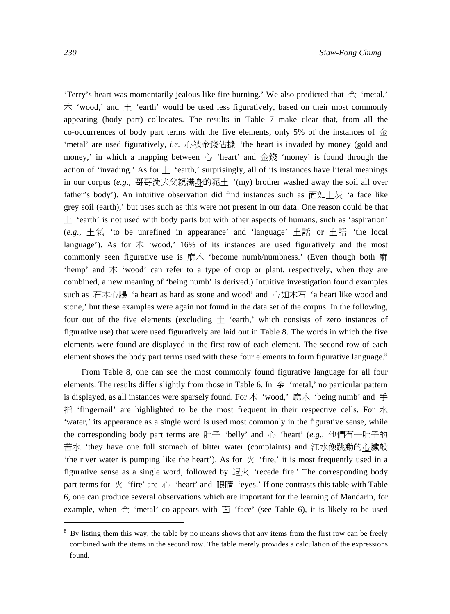'Terry's heart was momentarily jealous like fire burning.' We also predicted that  $\hat{\mathcal{L}}$  'metal,'  $\uparrow \uparrow$  'wood,' and  $\pm$  'earth' would be used less figuratively, based on their most commonly appearing (body part) collocates. The results in Table 7 make clear that, from all the co-occurrences of body part terms with the five elements, only 5% of the instances of  $\hat{\pm}$ 'metal' are used figuratively, *i.e.* 心被金錢佔據 'the heart is invaded by money (gold and money,' in which a mapping between  $\hat{C}$  'heart' and 金錢 'money' is found through the action of 'invading.' As for  $\pm$  'earth,' surprisingly, all of its instances have literal meanings in our corpus (*e.g*., 哥哥洗去父親滿身的泥土 '(my) brother washed away the soil all over father's body'). An intuitive observation did find instances such as 面如土灰 'a face like grey soil (earth),' but uses such as this were not present in our data. One reason could be that  $\pm$  'earth' is not used with body parts but with other aspects of humans, such as 'aspiration' (*e.g*., 土氣 'to be unrefined in appearance' and 'language' 土話 or 土語 'the local language'). As for  $\dot{\uparrow}$  'wood,' 16% of its instances are used figuratively and the most commonly seen figurative use is 麻木 'become numb/numbness.' (Even though both 麻 'hemp' and 木 'wood' can refer to a type of crop or plant, respectively, when they are combined, a new meaning of 'being numb' is derived.) Intuitive investigation found examples such as 石木心腸 'a heart as hard as stone and wood' and 心如木石 'a heart like wood and stone,' but these examples were again not found in the data set of the corpus. In the following, four out of the five elements (excluding  $\pm$  'earth,' which consists of zero instances of figurative use) that were used figuratively are laid out in Table 8. The words in which the five

From Table 8, one can see the most commonly found figurative language for all four elements. The results differ slightly from those in Table 6. In  $\hat{\pm}$  'metal,' no particular pattern is displayed, as all instances were sparsely found. For 木 'wood,' 麻木 'being numb' and 手 指 'fingernail' are highlighted to be the most frequent in their respective cells. For  $\chi$ 'water,' its appearance as a single word is used most commonly in the figurative sense, while the corresponding body part terms are 肚子 'belly' and 心 'heart' (*e.g*., 他們有一肚子的 苦水 'they have one full stomach of bitter water (complaints) and 江水像跳動的心臟般 'the river water is pumping like the heart'). As for  $\overline{\mathcal{K}}$  'fire,' it is most frequently used in a figurative sense as a single word, followed by 退火 'recede fire.' The corresponding body part terms for  $\overline{K}$  'fire' are  $\overline{K}$  'heart' and  $\overline{R}$  and  $\overline{R}$  'eyes.' If one contrasts this table with Table 6, one can produce several observations which are important for the learning of Mandarin, for example, when  $\hat{\mathcal{L}}$  'metal' co-appears with  $\hat{\mathbb{H}}$  'face' (see Table 6), it is likely to be used

elements were found are displayed in the first row of each element. The second row of each element shows the body part terms used with these four elements to form figurative language.<sup>8</sup>

<sup>&</sup>lt;sup>8</sup> By listing them this way, the table by no means shows that any items from the first row can be freely combined with the items in the second row. The table merely provides a calculation of the expressions found.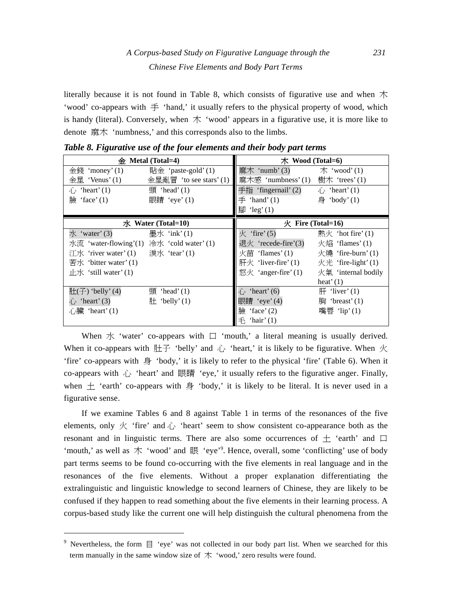# *A Corpus-based Study on Figurative Language through the 231 Chinese Five Elements and Body Part Terms*

literally because it is not found in Table 8, which consists of figurative use and when  $#$ 'wood' co-appears with  $\equiv$  'hand,' it usually refers to the physical property of wood, which is handy (literal). Conversely, when  $\dot{\uparrow}$  'wood' appears in a figurative use, it is more like to denote 麻木 'numbness,' and this corresponds also to the limbs.

| 金                                        | Metal (Total=4)           | $\pi$ Wood (Total=6)          |                          |  |  |  |
|------------------------------------------|---------------------------|-------------------------------|--------------------------|--|--|--|
| 金錢 'money'(1)                            | 貼金 'paste-gold' $(1)$     | 麻木 'numb'(3)                  | $\pi$ 'wood'(1)          |  |  |  |
| $\diamondled{e}$ 星 'Venus'(1)            | 金星亂冒 'to see stars' $(1)$ | 麻木感'numbness'(1)              | 樹木 'trees'(1)            |  |  |  |
| $\hat{\psi}$ 'heart' (1)                 | 頭 'head' $(1)$            | 手指 'fingernail' (2)           | $\hat{\psi}$ 'heart' (1) |  |  |  |
| 臉<br>'face' $(1)$                        | 眼睛 'eye'(1)               | $\equiv$ 'hand' (1)           | 身 'body'(1)              |  |  |  |
|                                          |                           | 腳 'leg' $(1)$                 |                          |  |  |  |
|                                          | $\pi$ Water (Total=10)    | $\mathcal{R}$ Fire (Total=16) |                          |  |  |  |
| 水'water'(3)                              | 墨水 'ink'(1)               | $\mathcal{K}$ 'fire' (5)      | 熱火 'hot fire' $(1)$      |  |  |  |
| 水流 'water-flowing'(1) 冷水 'cold water'(1) |                           | 退火 'recede-fire'(3)           | 火焰 'flames'(1)           |  |  |  |
|                                          |                           | 火苗 'flames'(1)                | 火燒 'fire-burn'(1)        |  |  |  |
| 苦水 'bitter water' $(1)$                  |                           | 肝火 'liver-fire' $(1)$         | 火光 'fire-light' $(1)$    |  |  |  |
| 止水 'still water' $(1)$                   |                           | 怒火 'anger-fire' $(1)$         | 火氣 'internal bodily      |  |  |  |
|                                          |                           |                               | heat' $(1)$              |  |  |  |
| $\sharp$ : (子) 'belly' (4)               | 頭 'head' $(1)$            | $\hat{1}$ 'heart' (6)         | $\mathbb{H}$ 'liver' (1) |  |  |  |
| 心 'heart' (3)                            | $\mathbb{H}$ 'belly' (1)  | 眼睛 'eye'(4)                   | fig 'breast' $(1)$       |  |  |  |
| 心臟 'heart' (1)                           |                           | 臉<br>'face' $(2)$             | 嘴唇 'lip'(1)              |  |  |  |
|                                          |                           | 'hair' $(1)$<br>手             |                          |  |  |  |

*Table 8. Figurative use of the four elements and their body part terms* 

When  $\overline{X}$  'water' co-appears with  $\Box$  'mouth,' a literal meaning is usually derived. When it co-appears with  $\#\text{F}$  'belly' and  $\Delta$  'heart,' it is likely to be figurative. When  $\#$ 'fire' co-appears with 身 'body,' it is likely to refer to the physical 'fire' (Table 6). When it co-appears with  $\hat{\psi}$  'heart' and 眼睛 'eye,' it usually refers to the figurative anger. Finally, when  $\pm$  'earth' co-appears with  $\frac{1}{2}$  'body,' it is likely to be literal. It is never used in a figurative sense.

If we examine Tables 6 and 8 against Table 1 in terms of the resonances of the five elements, only  $\overline{K}$  'fire' and  $\overline{K}$  'heart' seem to show consistent co-appearance both as the resonant and in linguistic terms. There are also some occurrences of  $+$  'earth' and  $\Box$ 'mouth,' as well as 木 'wood' and 眼 'eye'9 . Hence, overall, some 'conflicting' use of body part terms seems to be found co-occurring with the five elements in real language and in the resonances of the five elements. Without a proper explanation differentiating the extralinguistic and linguistic knowledge to second learners of Chinese, they are likely to be confused if they happen to read something about the five elements in their learning process. A corpus-based study like the current one will help distinguish the cultural phenomena from the

<sup>&</sup>lt;sup>9</sup> Nevertheless, the form  $\Xi$  'eye' was not collected in our body part list. When we searched for this term manually in the same window size of  $*$  'wood,' zero results were found.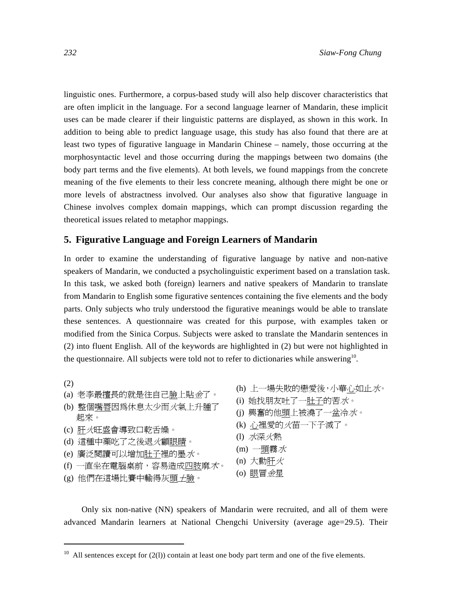linguistic ones. Furthermore, a corpus-based study will also help discover characteristics that are often implicit in the language. For a second language learner of Mandarin, these implicit uses can be made clearer if their linguistic patterns are displayed, as shown in this work. In addition to being able to predict language usage, this study has also found that there are at least two types of figurative language in Mandarin Chinese – namely, those occurring at the morphosyntactic level and those occurring during the mappings between two domains (the body part terms and the five elements). At both levels, we found mappings from the concrete meaning of the five elements to their less concrete meaning, although there might be one or more levels of abstractness involved. Our analyses also show that figurative language in Chinese involves complex domain mappings, which can prompt discussion regarding the theoretical issues related to metaphor mappings.

## **5. Figurative Language and Foreign Learners of Mandarin**

In order to examine the understanding of figurative language by native and non-native speakers of Mandarin, we conducted a psycholinguistic experiment based on a translation task. In this task, we asked both (foreign) learners and native speakers of Mandarin to translate from Mandarin to English some figurative sentences containing the five elements and the body parts. Only subjects who truly understood the figurative meanings would be able to translate these sentences. A questionnaire was created for this purpose, with examples taken or modified from the Sinica Corpus. Subjects were asked to translate the Mandarin sentences in (2) into fluent English. All of the keywords are highlighted in (2) but were not highlighted in the questionnaire. All subjects were told not to refer to dictionaries while answering<sup>10</sup>.

(2)

- (a) 老李最擅長的就是往自己臉上貼金了。
- (b) 整個嘴唇因為休息太少而火氣上升腫了 起來。
- (c) 肝火旺盛會導致口乾舌燥。
- (d) 這種中藥吃了之後退火顧眼睛。
- (e) 廣泛閱讀可以增加肚子裡的墨水。
- (f) 一直坐在電腦桌前,容易造成四肢麻木。
- (g) 他們在這場比賽中輸得灰頭土臉。

- (h) 上一場失敗的戀愛後,小華心如止水。
- (i) 她找朋友吐了一肚子的苦水。
- (j) 興奮的他頭上被澆了一盆冷水。
- (k) 心裡愛的火苗一下子滅了。
- (l) 水深火熱
- $(m)$  一頭霧水
- (n) 大動肝火
- (o) 眼冒金星

Only six non-native (NN) speakers of Mandarin were recruited, and all of them were advanced Mandarin learners at National Chengchi University (average age=29.5). Their

 $10$  All sentences except for (2(1)) contain at least one body part term and one of the five elements.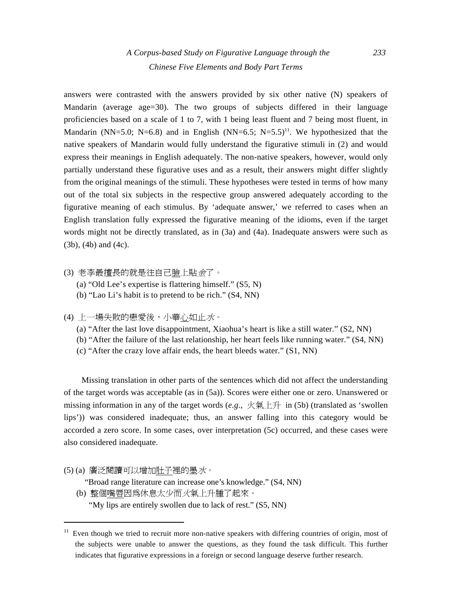answers were contrasted with the answers provided by six other native (N) speakers of Mandarin (average age=30). The two groups of subjects differed in their language proficiencies based on a scale of 1 to 7, with 1 being least fluent and 7 being most fluent, in Mandarin (NN=5.0; N=6.8) and in English (NN=6.5; N=5.5)<sup>11</sup>. We hypothesized that the native speakers of Mandarin would fully understand the figurative stimuli in (2) and would express their meanings in English adequately. The non-native speakers, however, would only partially understand these figurative uses and as a result, their answers might differ slightly from the original meanings of the stimuli. These hypotheses were tested in terms of how many out of the total six subjects in the respective group answered adequately according to the figurative meaning of each stimulus. By 'adequate answer,' we referred to cases when an English translation fully expressed the figurative meaning of the idioms, even if the target words might not be directly translated, as in (3a) and (4a). Inadequate answers were such as (3b), (4b) and (4c).

- (3) 老李最擅長的就是往自己臉上貼金了。
	- (a) "Old Lee's expertise is flattering himself." (S5, N)
	- (b) "Lao Li's habit is to pretend to be rich." (S4, NN)
- (4) 上一場失敗的戀愛後,小華心如止水。
	- (a) "After the last love disappointment, Xiaohua's heart is like a still water." (S2, NN)
	- (b) "After the failure of the last relationship, her heart feels like running water." (S4, NN)
	- (c) "After the crazy love affair ends, the heart bleeds water." (S1, NN)

Missing translation in other parts of the sentences which did not affect the understanding of the target words was acceptable (as in (5a)). Scores were either one or zero. Unanswered or missing information in any of the target words  $(e.g., \nvert \mathcal{K} \otimes \pm \pm \mathcal{H})$  in (5b) (translated as 'swollen lips')) was considered inadequate; thus, an answer falling into this category would be accorded a zero score. In some cases, over interpretation (5c) occurred, and these cases were also considered inadequate.

(5) (a) 廣泛閱讀可以增加肚子裡的墨水。

"Broad range literature can increase one's knowledge." (S4, NN)

(b) 整個嘴唇因為休息太少而火氣上升腫了起來。

"My lips are entirely swollen due to lack of rest." (S5, NN)

 $11$  Even though we tried to recruit more non-native speakers with differing countries of origin, most of the subjects were unable to answer the questions, as they found the task difficult. This further indicates that figurative expressions in a foreign or second language deserve further research.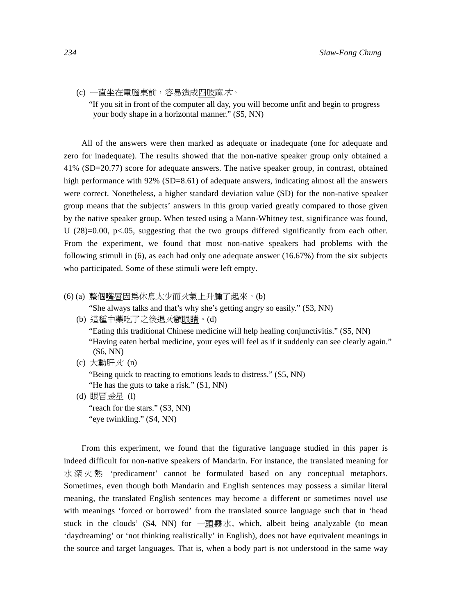(c) 一直坐在電腦桌前,容易造成四肢麻木。

"If you sit in front of the computer all day, you will become unfit and begin to progress your body shape in a horizontal manner." (S5, NN)

All of the answers were then marked as adequate or inadequate (one for adequate and zero for inadequate). The results showed that the non-native speaker group only obtained a 41% (SD=20.77) score for adequate answers. The native speaker group, in contrast, obtained high performance with 92% (SD=8.61) of adequate answers, indicating almost all the answers were correct. Nonetheless, a higher standard deviation value (SD) for the non-native speaker group means that the subjects' answers in this group varied greatly compared to those given by the native speaker group. When tested using a Mann-Whitney test, significance was found, U  $(28)=0.00$ , p $\lt 0.05$ , suggesting that the two groups differed significantly from each other. From the experiment, we found that most non-native speakers had problems with the following stimuli in (6), as each had only one adequate answer (16.67%) from the six subjects who participated. Some of these stimuli were left empty.

(6) (a) 整個嘴唇因為休息太少而火氣上升腫了起來。(b)

"She always talks and that's why she's getting angry so easily." (S3, NN)

(b) 這種中藥吃了之後退火顧眼睛。(d)

 "Eating this traditional Chinese medicine will help healing conjunctivitis." (S5, NN) "Having eaten herbal medicine, your eyes will feel as if it suddenly can see clearly again." (S6, NN)

(c) 大動肝火 (n)

 "Being quick to reacting to emotions leads to distress." (S5, NN) "He has the guts to take a risk." (S1, NN)

(d) 眼冒金星 (l) "reach for the stars." (S3, NN) "eye twinkling." (S4, NN)

From this experiment, we found that the figurative language studied in this paper is indeed difficult for non-native speakers of Mandarin. For instance, the translated meaning for 水深火熱 'predicament' cannot be formulated based on any conceptual metaphors. Sometimes, even though both Mandarin and English sentences may possess a similar literal meaning, the translated English sentences may become a different or sometimes novel use with meanings 'forced or borrowed' from the translated source language such that in 'head stuck in the clouds'  $(S4, NN)$  for  $\text{---} \text{5} \text{--} \text{5}$   $\text{5}$   $\text{--} \text{--} \text{5}$  analyzable (to mean 'daydreaming' or 'not thinking realistically' in English), does not have equivalent meanings in the source and target languages. That is, when a body part is not understood in the same way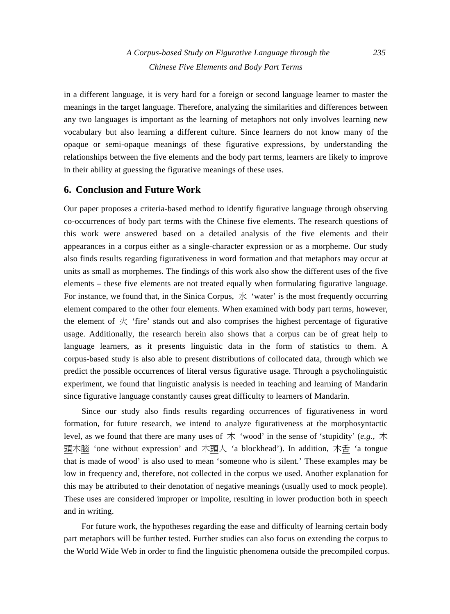in a different language, it is very hard for a foreign or second language learner to master the meanings in the target language. Therefore, analyzing the similarities and differences between any two languages is important as the learning of metaphors not only involves learning new vocabulary but also learning a different culture. Since learners do not know many of the opaque or semi-opaque meanings of these figurative expressions, by understanding the relationships between the five elements and the body part terms, learners are likely to improve in their ability at guessing the figurative meanings of these uses.

## **6. Conclusion and Future Work**

Our paper proposes a criteria-based method to identify figurative language through observing co-occurrences of body part terms with the Chinese five elements. The research questions of this work were answered based on a detailed analysis of the five elements and their appearances in a corpus either as a single-character expression or as a morpheme. Our study also finds results regarding figurativeness in word formation and that metaphors may occur at units as small as morphemes. The findings of this work also show the different uses of the five elements – these five elements are not treated equally when formulating figurative language. For instance, we found that, in the Sinica Corpus,  $\overrightarrow{X}$  'water' is the most frequently occurring element compared to the other four elements. When examined with body part terms, however, the element of  $\mathcal K$  'fire' stands out and also comprises the highest percentage of figurative usage. Additionally, the research herein also shows that a corpus can be of great help to language learners, as it presents linguistic data in the form of statistics to them. A corpus-based study is also able to present distributions of collocated data, through which we predict the possible occurrences of literal versus figurative usage. Through a psycholinguistic experiment, we found that linguistic analysis is needed in teaching and learning of Mandarin since figurative language constantly causes great difficulty to learners of Mandarin.

Since our study also finds results regarding occurrences of figurativeness in word formation, for future research, we intend to analyze figurativeness at the morphosyntactic level, as we found that there are many uses of  $\dot{\uparrow}$  'wood' in the sense of 'stupidity' (*e.g.*,  $\dot{\uparrow}$ 頭木腦 'one without expression' and 木頭人 'a blockhead'). In addition, 木舌 'a tongue that is made of wood' is also used to mean 'someone who is silent.' These examples may be low in frequency and, therefore, not collected in the corpus we used. Another explanation for this may be attributed to their denotation of negative meanings (usually used to mock people). These uses are considered improper or impolite, resulting in lower production both in speech and in writing.

For future work, the hypotheses regarding the ease and difficulty of learning certain body part metaphors will be further tested. Further studies can also focus on extending the corpus to the World Wide Web in order to find the linguistic phenomena outside the precompiled corpus.